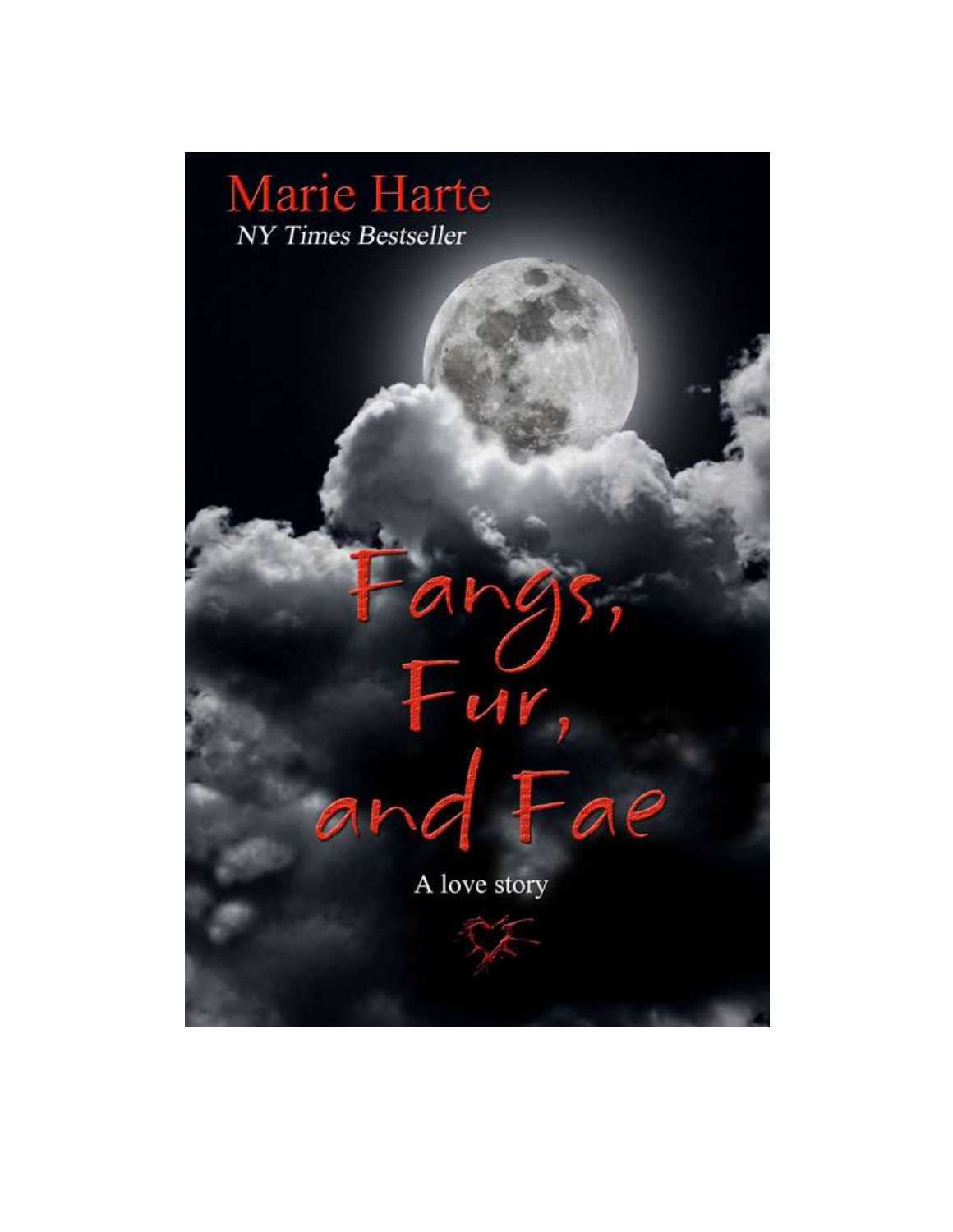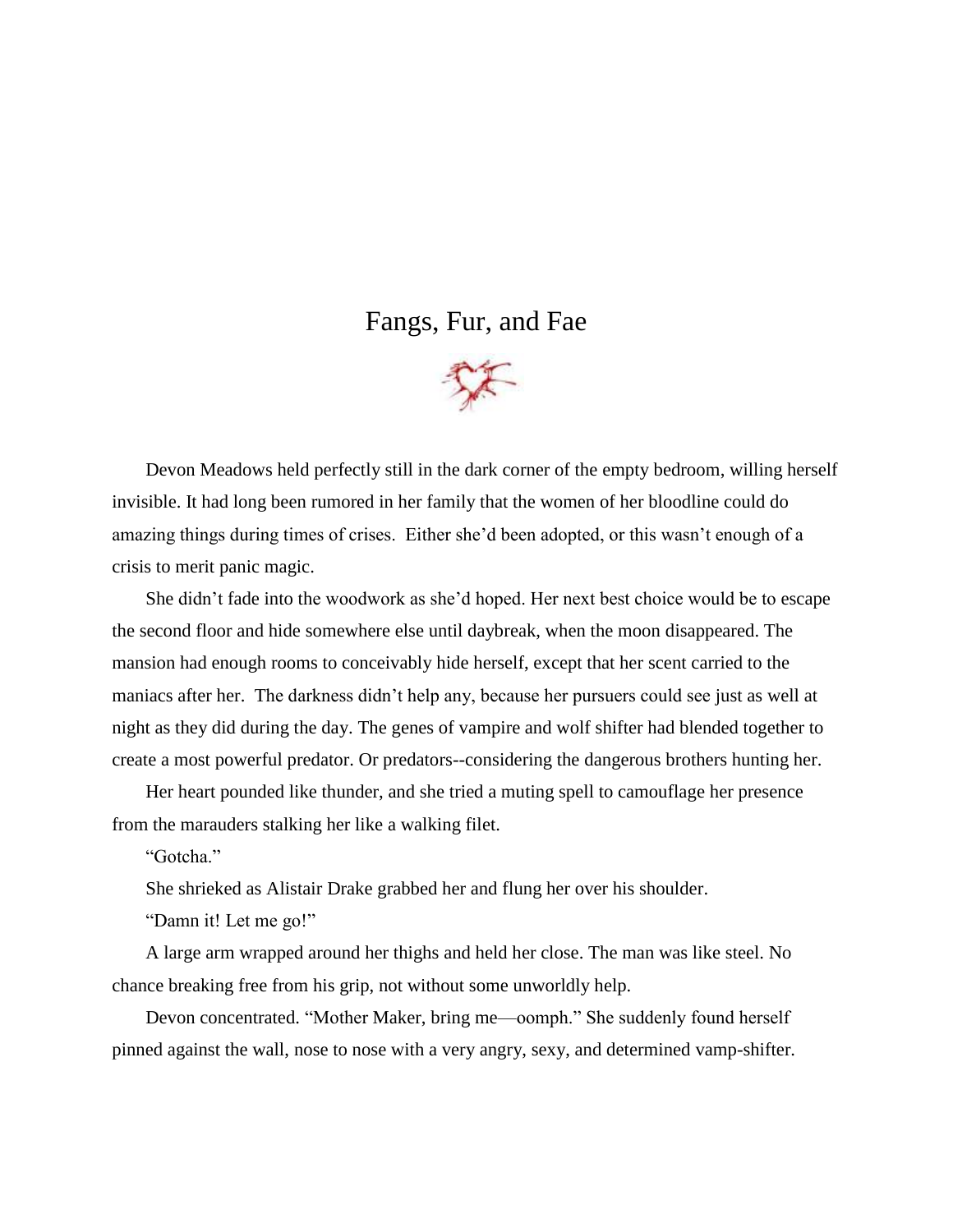## Fangs, Fur, and Fae



Devon Meadows held perfectly still in the dark corner of the empty bedroom, willing herself invisible. It had long been rumored in her family that the women of her bloodline could do amazing things during times of crises. Either she'd been adopted, or this wasn't enough of a crisis to merit panic magic.

She didn't fade into the woodwork as she'd hoped. Her next best choice would be to escape the second floor and hide somewhere else until daybreak, when the moon disappeared. The mansion had enough rooms to conceivably hide herself, except that her scent carried to the maniacs after her. The darkness didn't help any, because her pursuers could see just as well at night as they did during the day. The genes of vampire and wolf shifter had blended together to create a most powerful predator. Or predators--considering the dangerous brothers hunting her.

Her heart pounded like thunder, and she tried a muting spell to camouflage her presence from the marauders stalking her like a walking filet.

"Gotcha."

She shrieked as Alistair Drake grabbed her and flung her over his shoulder.

"Damn it! Let me go!"

A large arm wrapped around her thighs and held her close. The man was like steel. No chance breaking free from his grip, not without some unworldly help.

Devon concentrated. "Mother Maker, bring me—oomph." She suddenly found herself pinned against the wall, nose to nose with a very angry, sexy, and determined vamp-shifter.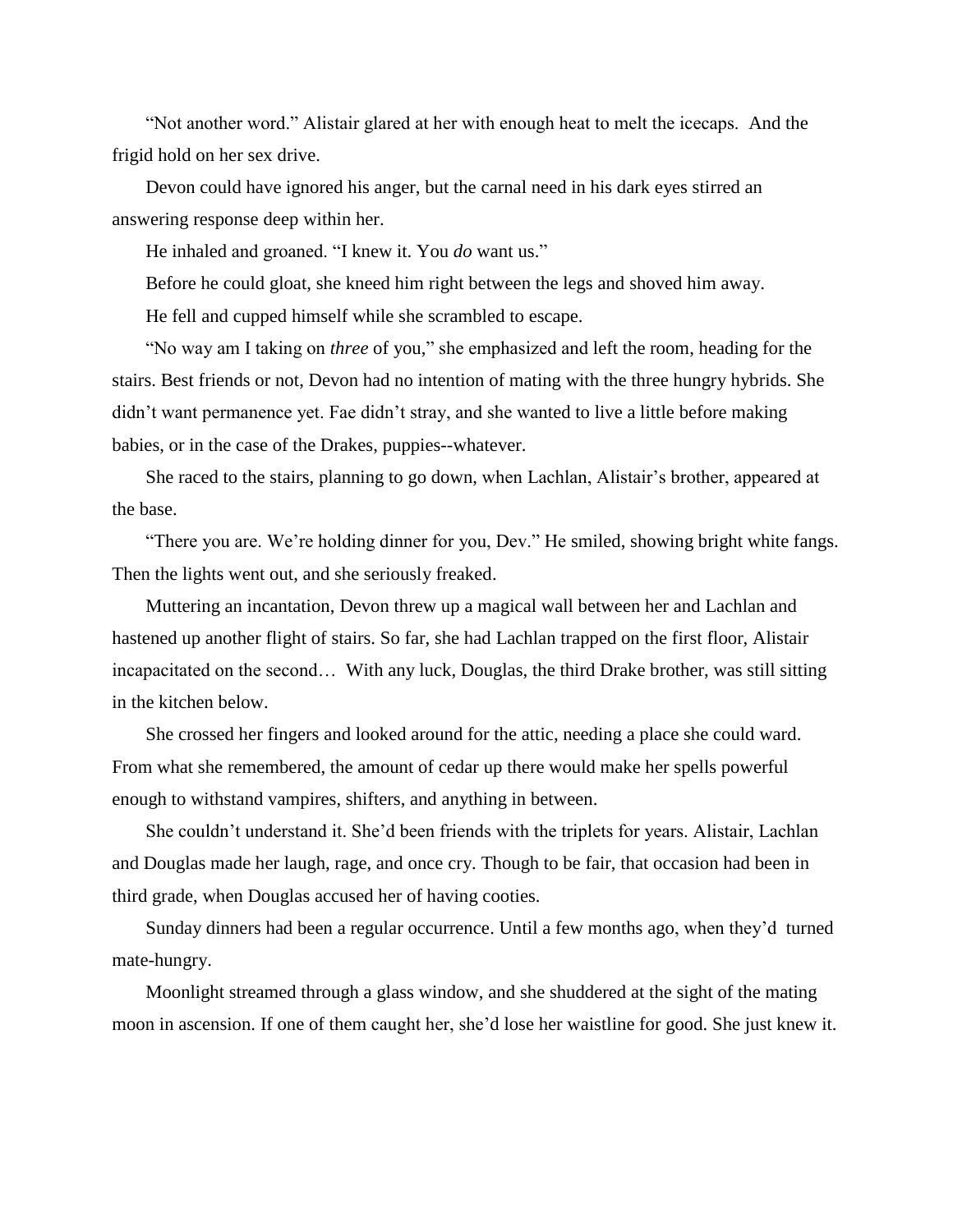"Not another word." Alistair glared at her with enough heat to melt the icecaps. And the frigid hold on her sex drive.

Devon could have ignored his anger, but the carnal need in his dark eyes stirred an answering response deep within her.

He inhaled and groaned. "I knew it. You *do* want us."

Before he could gloat, she kneed him right between the legs and shoved him away.

He fell and cupped himself while she scrambled to escape.

"No way am I taking on *three* of you," she emphasized and left the room, heading for the stairs. Best friends or not, Devon had no intention of mating with the three hungry hybrids. She didn't want permanence yet. Fae didn't stray, and she wanted to live a little before making babies, or in the case of the Drakes, puppies--whatever.

She raced to the stairs, planning to go down, when Lachlan, Alistair's brother, appeared at the base.

"There you are. We're holding dinner for you, Dev." He smiled, showing bright white fangs. Then the lights went out, and she seriously freaked.

Muttering an incantation, Devon threw up a magical wall between her and Lachlan and hastened up another flight of stairs. So far, she had Lachlan trapped on the first floor, Alistair incapacitated on the second… With any luck, Douglas, the third Drake brother, was still sitting in the kitchen below.

She crossed her fingers and looked around for the attic, needing a place she could ward. From what she remembered, the amount of cedar up there would make her spells powerful enough to withstand vampires, shifters, and anything in between.

She couldn't understand it. She'd been friends with the triplets for years. Alistair, Lachlan and Douglas made her laugh, rage, and once cry. Though to be fair, that occasion had been in third grade, when Douglas accused her of having cooties.

Sunday dinners had been a regular occurrence. Until a few months ago, when they'd turned mate-hungry.

Moonlight streamed through a glass window, and she shuddered at the sight of the mating moon in ascension. If one of them caught her, she'd lose her waistline for good. She just knew it.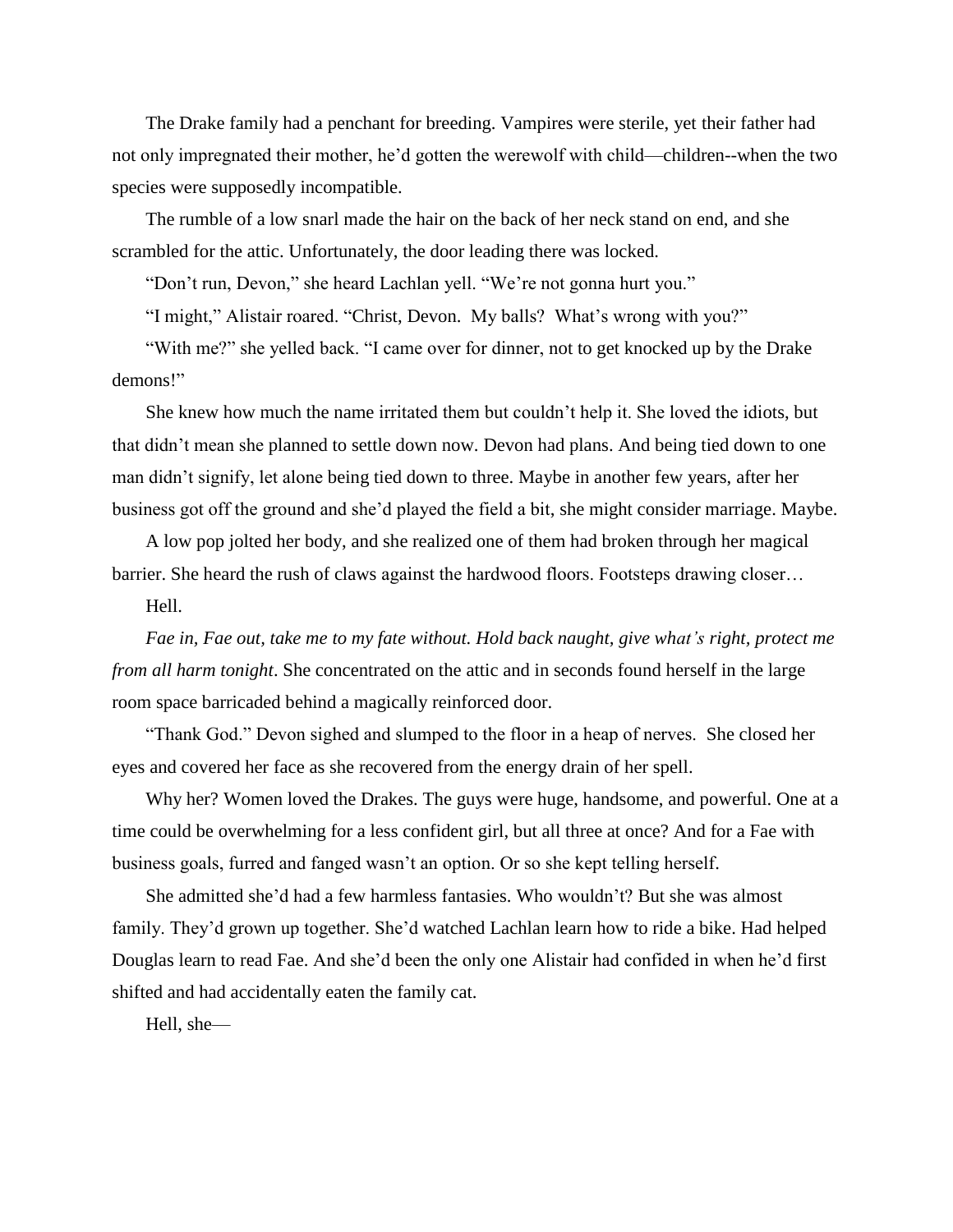The Drake family had a penchant for breeding. Vampires were sterile, yet their father had not only impregnated their mother, he'd gotten the werewolf with child—children--when the two species were supposedly incompatible.

The rumble of a low snarl made the hair on the back of her neck stand on end, and she scrambled for the attic. Unfortunately, the door leading there was locked.

"Don't run, Devon," she heard Lachlan yell. "We're not gonna hurt you."

"I might," Alistair roared. "Christ, Devon. My balls? What's wrong with you?"

"With me?" she yelled back. "I came over for dinner, not to get knocked up by the Drake demons!"

She knew how much the name irritated them but couldn't help it. She loved the idiots, but that didn't mean she planned to settle down now. Devon had plans. And being tied down to one man didn't signify, let alone being tied down to three. Maybe in another few years, after her business got off the ground and she'd played the field a bit, she might consider marriage. Maybe.

A low pop jolted her body, and she realized one of them had broken through her magical barrier. She heard the rush of claws against the hardwood floors. Footsteps drawing closer…

Hell.

*Fae in, Fae out, take me to my fate without. Hold back naught, give what's right, protect me from all harm tonight*. She concentrated on the attic and in seconds found herself in the large room space barricaded behind a magically reinforced door.

"Thank God." Devon sighed and slumped to the floor in a heap of nerves. She closed her eyes and covered her face as she recovered from the energy drain of her spell.

Why her? Women loved the Drakes. The guys were huge, handsome, and powerful. One at a time could be overwhelming for a less confident girl, but all three at once? And for a Fae with business goals, furred and fanged wasn't an option. Or so she kept telling herself.

She admitted she'd had a few harmless fantasies. Who wouldn't? But she was almost family. They'd grown up together. She'd watched Lachlan learn how to ride a bike. Had helped Douglas learn to read Fae. And she'd been the only one Alistair had confided in when he'd first shifted and had accidentally eaten the family cat.

Hell, she—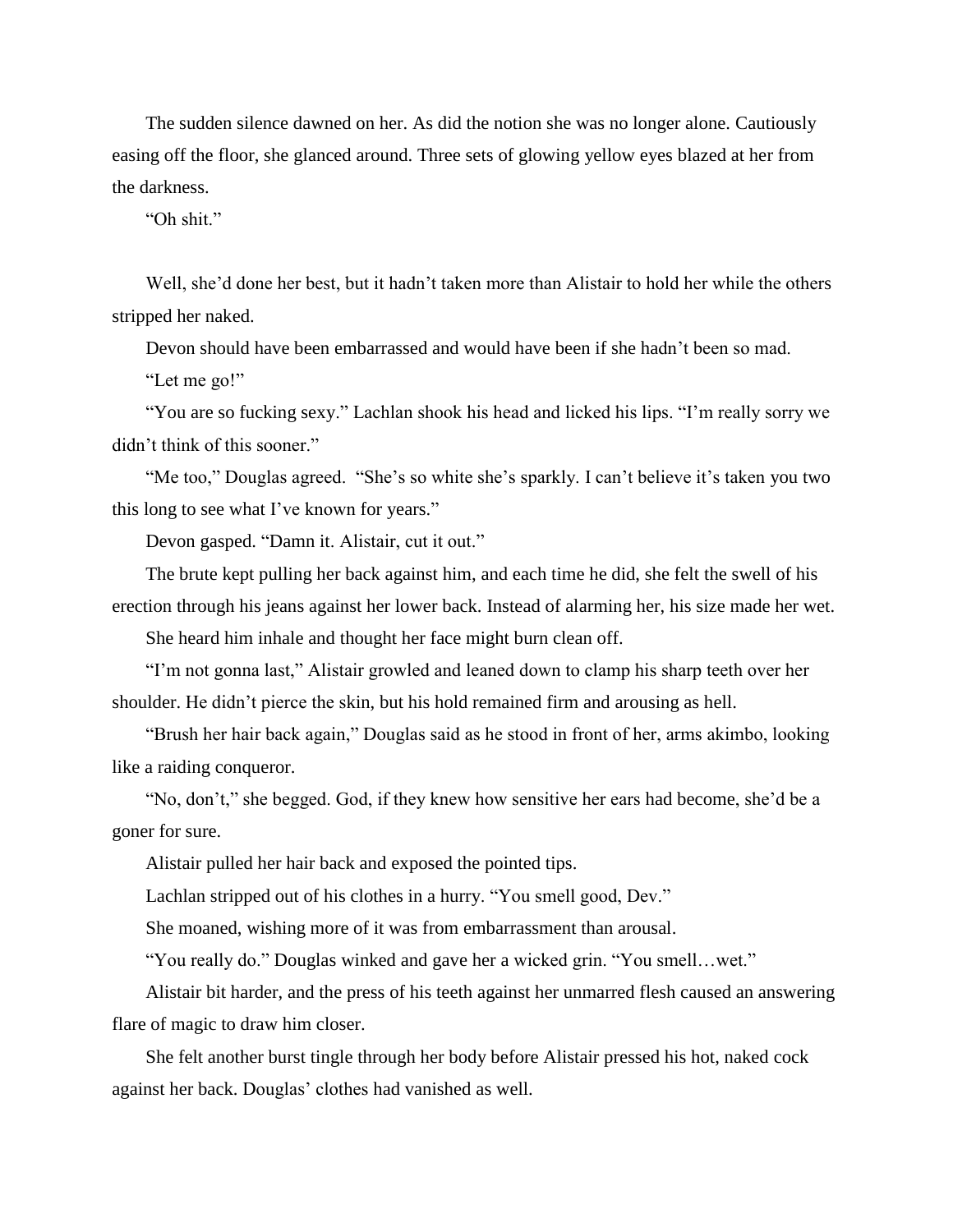The sudden silence dawned on her. As did the notion she was no longer alone. Cautiously easing off the floor, she glanced around. Three sets of glowing yellow eyes blazed at her from the darkness.

"Oh shit"

Well, she'd done her best, but it hadn't taken more than Alistair to hold her while the others stripped her naked.

Devon should have been embarrassed and would have been if she hadn't been so mad.

"Let me go!"

"You are so fucking sexy." Lachlan shook his head and licked his lips. "I'm really sorry we didn't think of this sooner."

"Me too," Douglas agreed. "She's so white she's sparkly. I can't believe it's taken you two this long to see what I've known for years."

Devon gasped. "Damn it. Alistair, cut it out."

The brute kept pulling her back against him, and each time he did, she felt the swell of his erection through his jeans against her lower back. Instead of alarming her, his size made her wet.

She heard him inhale and thought her face might burn clean off.

"I'm not gonna last," Alistair growled and leaned down to clamp his sharp teeth over her shoulder. He didn't pierce the skin, but his hold remained firm and arousing as hell.

"Brush her hair back again," Douglas said as he stood in front of her, arms akimbo, looking like a raiding conqueror.

"No, don't," she begged. God, if they knew how sensitive her ears had become, she'd be a goner for sure.

Alistair pulled her hair back and exposed the pointed tips.

Lachlan stripped out of his clothes in a hurry. "You smell good, Dev."

She moaned, wishing more of it was from embarrassment than arousal.

"You really do." Douglas winked and gave her a wicked grin. "You smell…wet."

Alistair bit harder, and the press of his teeth against her unmarred flesh caused an answering flare of magic to draw him closer.

She felt another burst tingle through her body before Alistair pressed his hot, naked cock against her back. Douglas' clothes had vanished as well.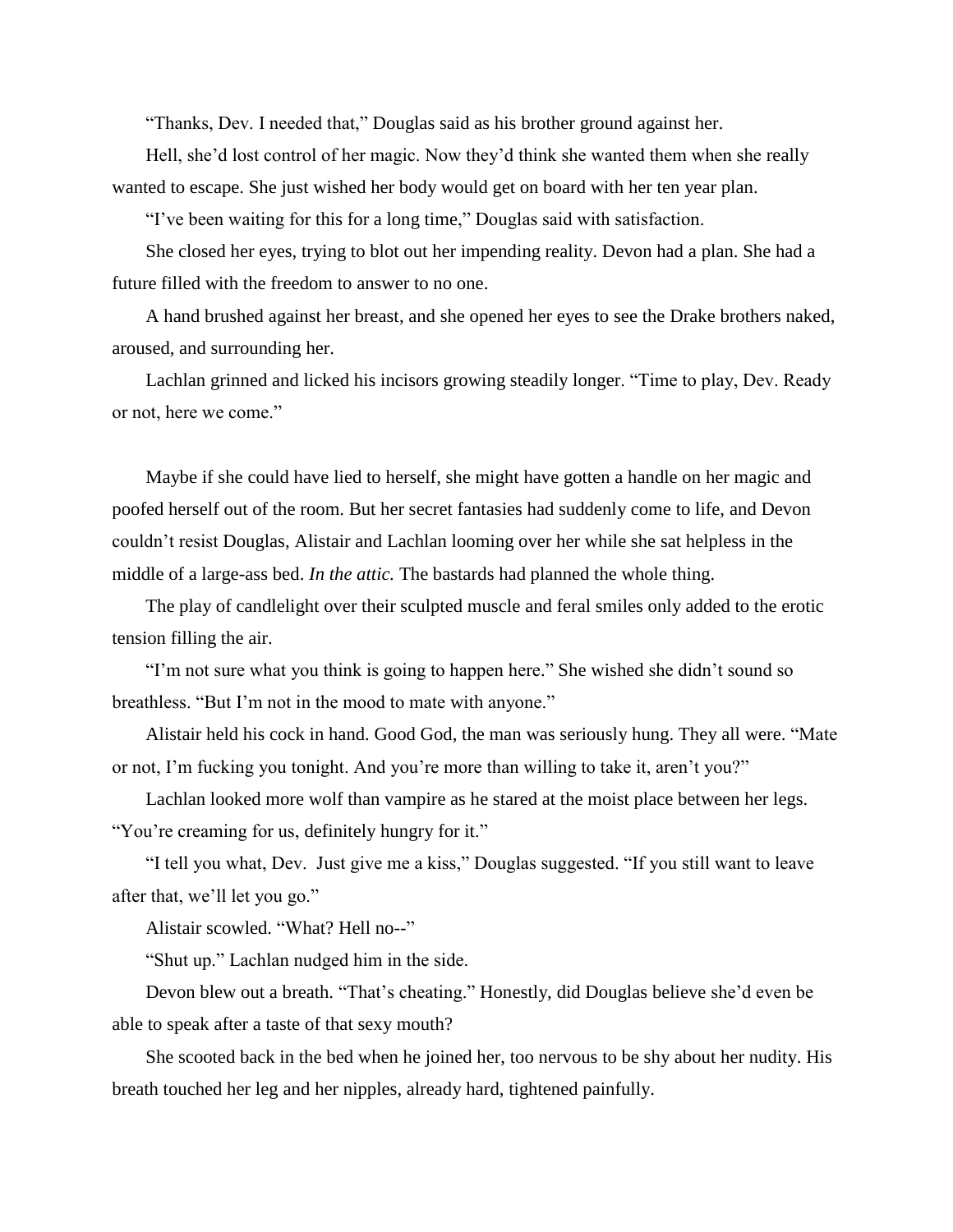"Thanks, Dev. I needed that," Douglas said as his brother ground against her.

Hell, she'd lost control of her magic. Now they'd think she wanted them when she really wanted to escape. She just wished her body would get on board with her ten year plan.

"I've been waiting for this for a long time," Douglas said with satisfaction.

She closed her eyes, trying to blot out her impending reality. Devon had a plan. She had a future filled with the freedom to answer to no one.

A hand brushed against her breast, and she opened her eyes to see the Drake brothers naked, aroused, and surrounding her.

Lachlan grinned and licked his incisors growing steadily longer. "Time to play, Dev. Ready or not, here we come."

Maybe if she could have lied to herself, she might have gotten a handle on her magic and poofed herself out of the room. But her secret fantasies had suddenly come to life, and Devon couldn't resist Douglas, Alistair and Lachlan looming over her while she sat helpless in the middle of a large-ass bed. *In the attic.* The bastards had planned the whole thing.

The play of candlelight over their sculpted muscle and feral smiles only added to the erotic tension filling the air.

"I'm not sure what you think is going to happen here." She wished she didn't sound so breathless. "But I'm not in the mood to mate with anyone."

Alistair held his cock in hand. Good God, the man was seriously hung. They all were. "Mate or not, I'm fucking you tonight. And you're more than willing to take it, aren't you?"

Lachlan looked more wolf than vampire as he stared at the moist place between her legs. "You're creaming for us, definitely hungry for it."

"I tell you what, Dev. Just give me a kiss," Douglas suggested. "If you still want to leave after that, we'll let you go."

Alistair scowled. "What? Hell no--"

"Shut up." Lachlan nudged him in the side.

Devon blew out a breath. "That's cheating." Honestly, did Douglas believe she'd even be able to speak after a taste of that sexy mouth?

She scooted back in the bed when he joined her, too nervous to be shy about her nudity. His breath touched her leg and her nipples, already hard, tightened painfully.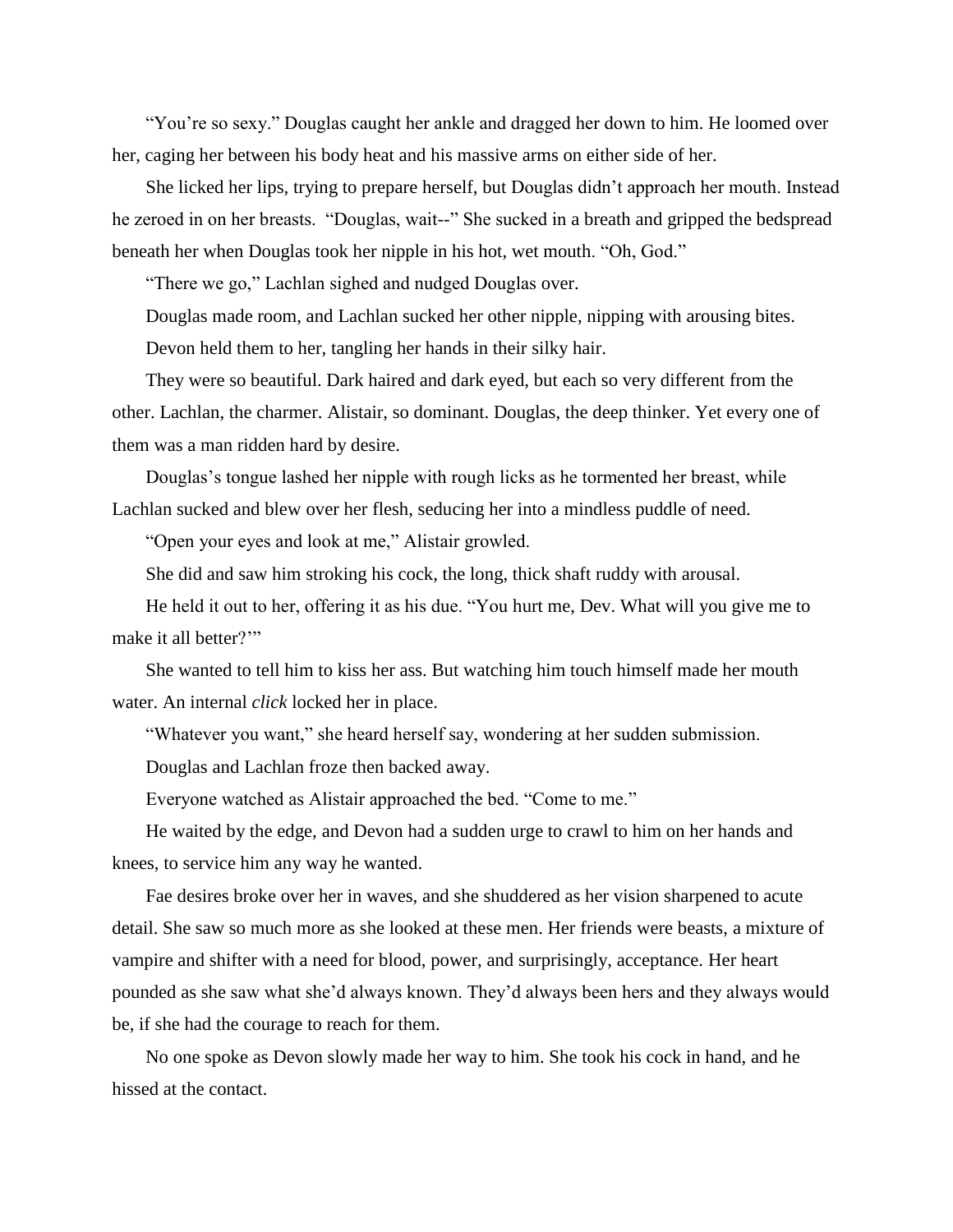"You're so sexy." Douglas caught her ankle and dragged her down to him. He loomed over her, caging her between his body heat and his massive arms on either side of her.

She licked her lips, trying to prepare herself, but Douglas didn't approach her mouth. Instead he zeroed in on her breasts. "Douglas, wait--" She sucked in a breath and gripped the bedspread beneath her when Douglas took her nipple in his hot, wet mouth. "Oh, God."

"There we go," Lachlan sighed and nudged Douglas over.

Douglas made room, and Lachlan sucked her other nipple, nipping with arousing bites.

Devon held them to her, tangling her hands in their silky hair.

They were so beautiful. Dark haired and dark eyed, but each so very different from the other. Lachlan, the charmer. Alistair, so dominant. Douglas, the deep thinker. Yet every one of them was a man ridden hard by desire.

Douglas's tongue lashed her nipple with rough licks as he tormented her breast, while Lachlan sucked and blew over her flesh, seducing her into a mindless puddle of need.

"Open your eyes and look at me," Alistair growled.

She did and saw him stroking his cock, the long, thick shaft ruddy with arousal.

He held it out to her, offering it as his due. "You hurt me, Dev. What will you give me to make it all better?"

She wanted to tell him to kiss her ass. But watching him touch himself made her mouth water. An internal *click* locked her in place.

"Whatever you want," she heard herself say, wondering at her sudden submission.

Douglas and Lachlan froze then backed away.

Everyone watched as Alistair approached the bed. "Come to me."

He waited by the edge, and Devon had a sudden urge to crawl to him on her hands and knees, to service him any way he wanted.

Fae desires broke over her in waves, and she shuddered as her vision sharpened to acute detail. She saw so much more as she looked at these men. Her friends were beasts, a mixture of vampire and shifter with a need for blood, power, and surprisingly, acceptance. Her heart pounded as she saw what she'd always known. They'd always been hers and they always would be, if she had the courage to reach for them.

No one spoke as Devon slowly made her way to him. She took his cock in hand, and he hissed at the contact.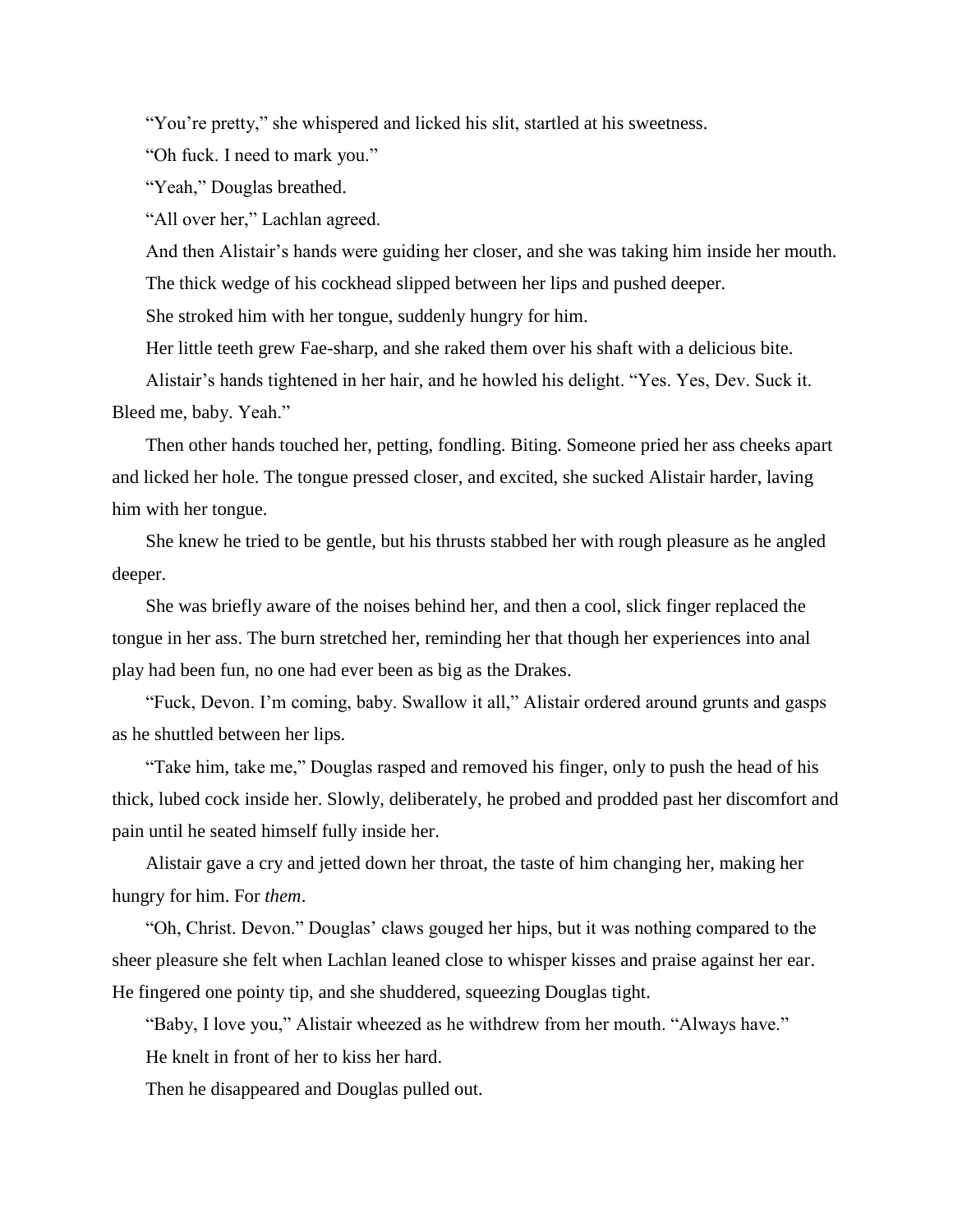"You're pretty," she whispered and licked his slit, startled at his sweetness.

"Oh fuck. I need to mark you."

"Yeah," Douglas breathed.

"All over her," Lachlan agreed.

And then Alistair's hands were guiding her closer, and she was taking him inside her mouth. The thick wedge of his cockhead slipped between her lips and pushed deeper.

She stroked him with her tongue, suddenly hungry for him.

Her little teeth grew Fae-sharp, and she raked them over his shaft with a delicious bite.

Alistair's hands tightened in her hair, and he howled his delight. "Yes. Yes, Dev. Suck it. Bleed me, baby. Yeah."

Then other hands touched her, petting, fondling. Biting. Someone pried her ass cheeks apart and licked her hole. The tongue pressed closer, and excited, she sucked Alistair harder, laving him with her tongue.

She knew he tried to be gentle, but his thrusts stabbed her with rough pleasure as he angled deeper.

She was briefly aware of the noises behind her, and then a cool, slick finger replaced the tongue in her ass. The burn stretched her, reminding her that though her experiences into anal play had been fun, no one had ever been as big as the Drakes.

"Fuck, Devon. I'm coming, baby. Swallow it all," Alistair ordered around grunts and gasps as he shuttled between her lips.

"Take him, take me," Douglas rasped and removed his finger, only to push the head of his thick, lubed cock inside her. Slowly, deliberately, he probed and prodded past her discomfort and pain until he seated himself fully inside her.

Alistair gave a cry and jetted down her throat, the taste of him changing her, making her hungry for him. For *them*.

"Oh, Christ. Devon." Douglas' claws gouged her hips, but it was nothing compared to the sheer pleasure she felt when Lachlan leaned close to whisper kisses and praise against her ear. He fingered one pointy tip, and she shuddered, squeezing Douglas tight.

"Baby, I love you," Alistair wheezed as he withdrew from her mouth. "Always have." He knelt in front of her to kiss her hard.

Then he disappeared and Douglas pulled out.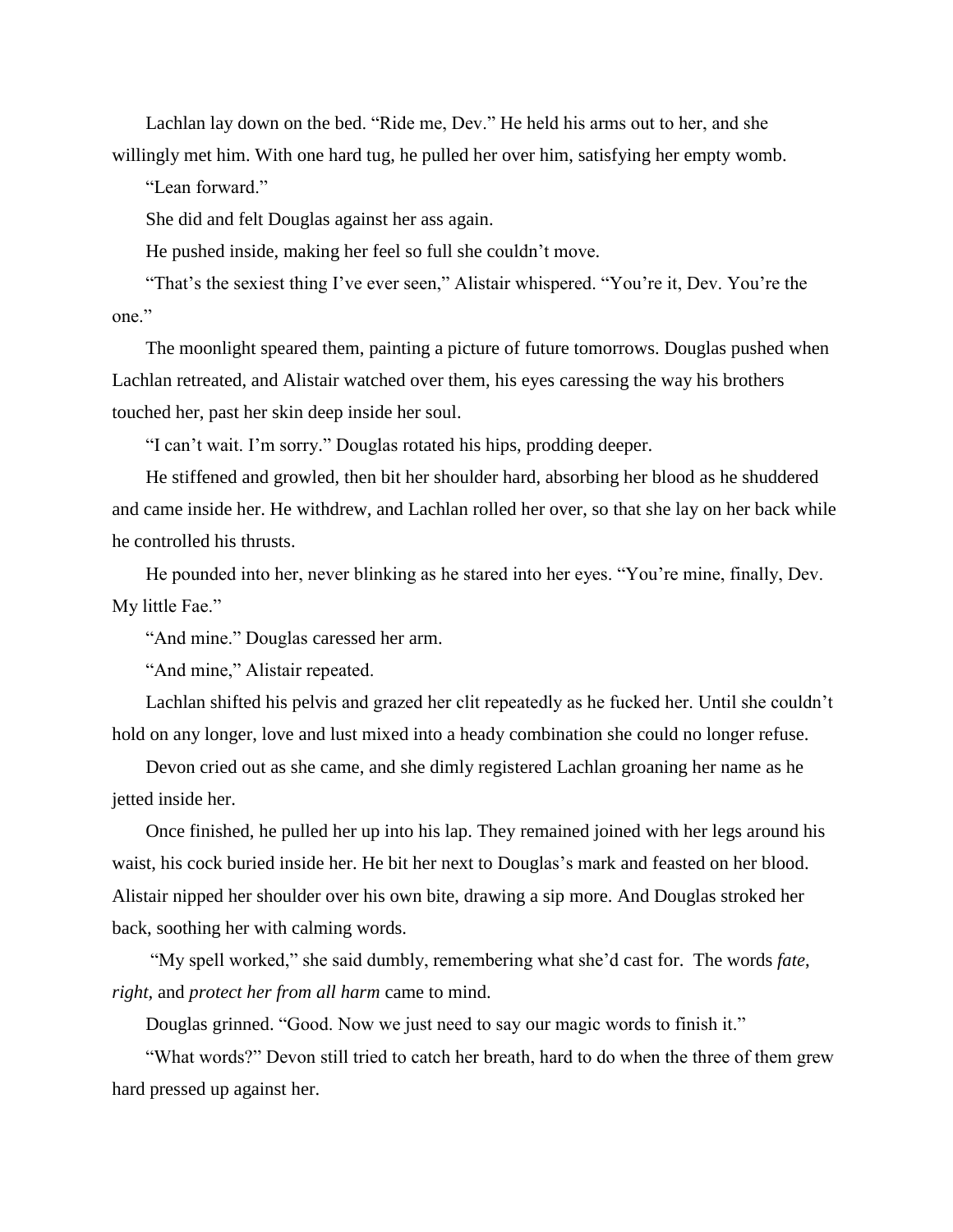Lachlan lay down on the bed. "Ride me, Dev." He held his arms out to her, and she willingly met him. With one hard tug, he pulled her over him, satisfying her empty womb.

"Lean forward."

She did and felt Douglas against her ass again.

He pushed inside, making her feel so full she couldn't move.

"That's the sexiest thing I've ever seen," Alistair whispered. "You're it, Dev. You're the one."

The moonlight speared them, painting a picture of future tomorrows. Douglas pushed when Lachlan retreated, and Alistair watched over them, his eyes caressing the way his brothers touched her, past her skin deep inside her soul.

"I can't wait. I'm sorry." Douglas rotated his hips, prodding deeper.

He stiffened and growled, then bit her shoulder hard, absorbing her blood as he shuddered and came inside her. He withdrew, and Lachlan rolled her over, so that she lay on her back while he controlled his thrusts.

He pounded into her, never blinking as he stared into her eyes. "You're mine, finally, Dev. My little Fae."

"And mine." Douglas caressed her arm.

"And mine," Alistair repeated.

Lachlan shifted his pelvis and grazed her clit repeatedly as he fucked her. Until she couldn't hold on any longer, love and lust mixed into a heady combination she could no longer refuse.

Devon cried out as she came, and she dimly registered Lachlan groaning her name as he jetted inside her.

Once finished, he pulled her up into his lap. They remained joined with her legs around his waist, his cock buried inside her. He bit her next to Douglas's mark and feasted on her blood. Alistair nipped her shoulder over his own bite, drawing a sip more. And Douglas stroked her back, soothing her with calming words.

"My spell worked," she said dumbly, remembering what she'd cast for. The words *fate*, *right,* and *protect her from all harm* came to mind.

Douglas grinned. "Good. Now we just need to say our magic words to finish it."

"What words?" Devon still tried to catch her breath, hard to do when the three of them grew hard pressed up against her.